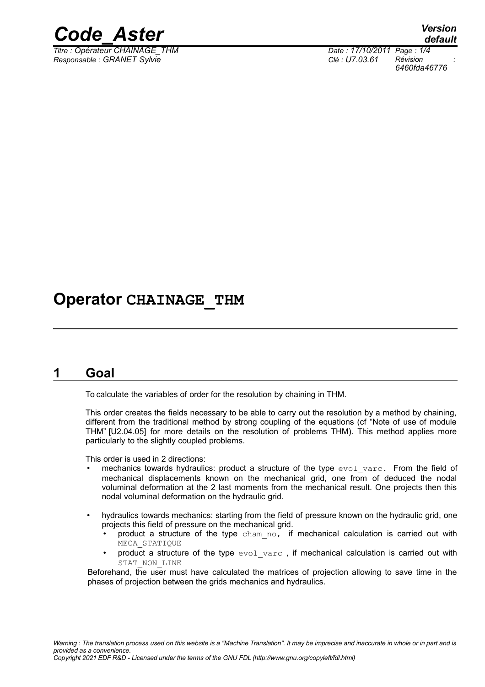

*Titre : Opérateur CHAINAGE\_THM Date : 17/10/2011 Page : 1/4 Responsable : GRANET Sylvie Clé : U7.03.61 Révision :*

*default 6460fda46776*

# **Operator CHAINAGE\_THM**

## **1 Goal**

To calculate the variables of order for the resolution by chaining in THM.

This order creates the fields necessary to be able to carry out the resolution by a method by chaining, different from the traditional method by strong coupling of the equations (cf "Note of use of module THM" [U2.04.05] for more details on the resolution of problems THM). This method applies more particularly to the slightly coupled problems.

This order is used in 2 directions:

- mechanics towards hydraulics: product a structure of the type evol varc. From the field of mechanical displacements known on the mechanical grid, one from of deduced the nodal voluminal deformation at the 2 last moments from the mechanical result. One projects then this nodal voluminal deformation on the hydraulic grid.
- hydraulics towards mechanics: starting from the field of pressure known on the hydraulic grid, one projects this field of pressure on the mechanical grid.
	- product a structure of the type cham no, if mechanical calculation is carried out with MECA\_STATIQUE
	- product a structure of the type  $evol\,var\subset$ , if mechanical calculation is carried out with STAT\_NON\_LINE

Beforehand, the user must have calculated the matrices of projection allowing to save time in the phases of projection between the grids mechanics and hydraulics.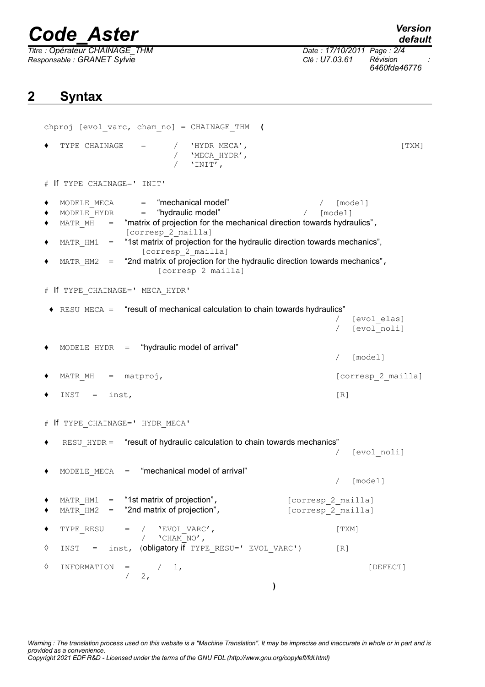# *Code\_Aster Version*

*Titre : Opérateur CHAINAGE\_THM Date : 17/10/2011 Page : 2/4 Responsable : GRANET Sylvie Clé : U7.03.61 Révision :*

*6460fda46776*

## **2 Syntax**

```
chproj [evol_varc, cham_no] = CHAINAGE_THM (
   \begin{array}{cccc}\n\text{TYPE} & \text{CHAPTER} & \text{CHAPTER} & \text{MECA} \text{ /}\n\end{array}/ 'MECA_HYDR',
                         / 'INIT',
# If TYPE_CHAINAGE=' INIT'
♦ MODELE_MECA = "mechanical model" / [model]
   \text{MODELE} HYDR = "hydraulic model" / \text{model}\triangle MATR MH = "matrix of projection for the mechanical direction towards hydraulics",
                [corresp 2 mailla]
   MATR HM1 = "1st matrix of projection for the hydraulic direction towards mechanics",
                   [corresp_2_mailla]
   MATE HM2 = "2nd matrix of projection for the hydraulic direction towards mechanics",
                      [corresp 2 mailla]
# If TYPE_CHAINAGE=' MECA_HYDR'
 \triangle RESU_MECA = "result of mechanical calculation to chain towards hydraulics"
                                                             [evol elas]
                                                             [evol_noli]
   MODELE HYDR = "hydraulic model of arrival"
                                                             / [model]
   MATR_MH = matproj, [corresp 2 0.11]\bullet INST = inst, [R]# If TYPE_CHAINAGE=' HYDR_MECA'
   RESU HYDR = "result of hydraulic calculation to chain towards mechanics"
                                                         / [evol_noli]
   MODELE MECA = "mechanical model of arrival"
                                                         / [model]
◆ MATR HM1 = "1st matrix of projection", corresp_2 mailla]
   MATR HM2 = "2nd matrix of projection", [corresp 2 mailla]
◆ TYPE RESU = / 'EVOL_VARC', [TXM]/ 'CHAM_NO',
◊ INST = inst, (obligatory if TYPE_RESU=' EVOL_VARC') [R]
\Diamond INFORMATION = / 1, \angle2,)
```
*Warning : The translation process used on this website is a "Machine Translation". It may be imprecise and inaccurate in whole or in part and is provided as a convenience. Copyright 2021 EDF R&D - Licensed under the terms of the GNU FDL (http://www.gnu.org/copyleft/fdl.html)*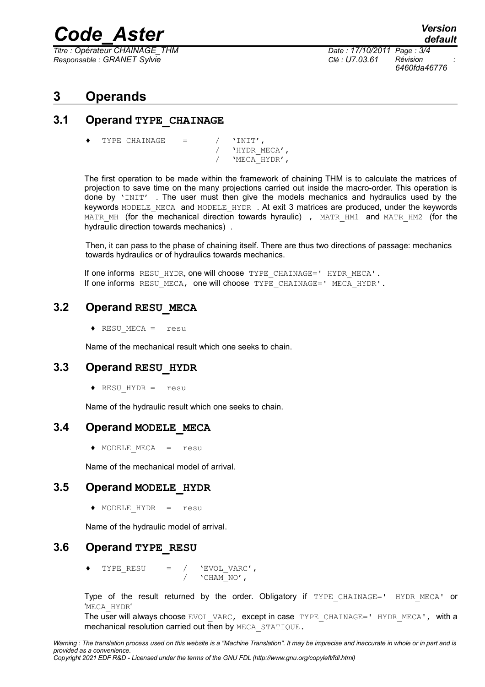# *Code\_Aster Version*

*Titre : Opérateur CHAINAGE\_THM Date : 17/10/2011 Page : 3/4 Responsable : GRANET Sylvie Clé : U7.03.61 Révision :*

*6460fda46776*

## **3 Operands**

#### **3.1 Operand TYPE\_CHAINAGE**

TYPE CHAINAGE =  $/$  'INIT',

/ 'HYDR\_MECA',<br>/ 'MECA HYDR', / 'MECA\_HYDR',

The first operation to be made within the framework of chaining THM is to calculate the matrices of projection to save time on the many projections carried out inside the macro-order. This operation is done by 'INIT' . The user must then give the models mechanics and hydraulics used by the keywords MODELE MECA and MODELE HYDR . At exit 3 matrices are produced, under the keywords MATR MH (for the mechanical direction towards hyraulic), MATR HM1 and MATR HM2 (for the hydraulic direction towards mechanics) .

Then, it can pass to the phase of chaining itself. There are thus two directions of passage: mechanics towards hydraulics or of hydraulics towards mechanics.

If one informs RESU HYDR, one will choose TYPE CHAINAGE=' HYDR MECA'. If one informs RESU MECA, one will choose  $TYPE$  CHAINAGE=' MECA HYDR'.

#### **3.2 Operand RESU\_MECA**

♦ RESU\_MECA = resu

Name of the mechanical result which one seeks to chain.

#### **3.3 Operand RESU\_HYDR**

♦ RESU\_HYDR = resu

Name of the hydraulic result which one seeks to chain.

#### **3.4 Operand MODELE\_MECA**

♦ MODELE\_MECA = resu

Name of the mechanical model of arrival.

#### **3.5 Operand MODELE\_HYDR**

♦ MODELE\_HYDR = resu

Name of the hydraulic model of arrival.

#### **3.6 Operand TYPE\_RESU**

♦ TYPE\_RESU = / 'EVOL\_VARC',  $/$  'CHAM NO',

Type of the result returned by the order. Obligatory if TYPE CHAINAGE=' HYDR MECA' or 'MECA\_HYDR'

The user will always choose EVOL VARC, except in case TYPE CHAINAGE=' HYDR MECA', with a mechanical resolution carried out then by MECA\_STATIQUE.